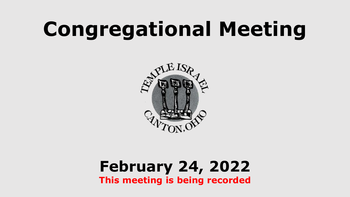# **Congregational Meeting**



#### **February 24, 2022 This meeting is being recorded**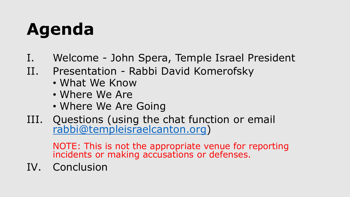### **Agenda**

- I. Welcome John Spera, Temple Israel President
- II. Presentation Rabbi David Komerofsky
	- What We Know
	- Where We Are
	- Where We Are Going
- III. Questions (using the chat function or email [rabbi@templeisraelcanton.org\)](mailto:rabbi@templeisraelcanton.org)

NOTE: This is not the appropriate venue for reporting incidents or making accusations or defenses.

IV. Conclusion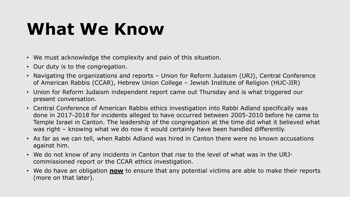### **What We Know**

- We must acknowledge the complexity and pain of this situation.
- Our duty is to the congregation.
- Navigating the organizations and reports Union for Reform Judaism (URJ), Central Conference of American Rabbis (CCAR), Hebrew Union College – Jewish Institute of Religion (HUC-JIR)
- Union for Reform Judaism independent report came out Thursday and is what triggered our present conversation.
- Central Conference of American Rabbis ethics investigation into Rabbi Adland specifically was done in 2017-2018 for incidents alleged to have occurred between 2005-2010 before he came to Temple Israel in Canton. The leadership of the congregation at the time did what it believed what was right – knowing what we do now it would certainly have been handled differently.
- As far as we can tell, when Rabbi Adland was hired in Canton there were no known accusations against him.
- We do not know of any incidents in Canton that rise to the level of what was in the URJcommissioned report or the CCAR ethics investigation.
- We do have an obligation **now** to ensure that any potential victims are able to make their reports (more on that later).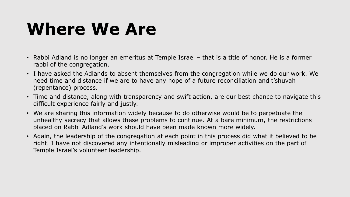#### **Where We Are**

- Rabbi Adland is no longer an emeritus at Temple Israel that is a title of honor. He is a former rabbi of the congregation.
- I have asked the Adlands to absent themselves from the congregation while we do our work. We need time and distance if we are to have any hope of a future reconciliation and t'shuvah (repentance) process.
- Time and distance, along with transparency and swift action, are our best chance to navigate this difficult experience fairly and justly.
- We are sharing this information widely because to do otherwise would be to perpetuate the unhealthy secrecy that allows these problems to continue. At a bare minimum, the restrictions placed on Rabbi Adland's work should have been made known more widely.
- Again, the leadership of the congregation at each point in this process did what it believed to be right. I have not discovered any intentionally misleading or improper activities on the part of Temple Israel's volunteer leadership.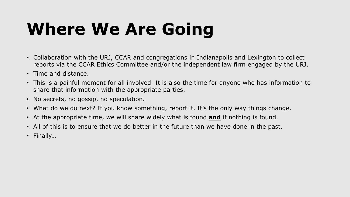## **Where We Are Going**

- Collaboration with the URJ, CCAR and congregations in Indianapolis and Lexington to collect reports via the CCAR Ethics Committee and/or the independent law firm engaged by the URJ.
- Time and distance.
- This is a painful moment for all involved. It is also the time for anyone who has information to share that information with the appropriate parties.
- No secrets, no gossip, no speculation.
- What do we do next? If you know something, report it. It's the only way things change.
- At the appropriate time, we will share widely what is found **and** if nothing is found.
- All of this is to ensure that we do better in the future than we have done in the past.
- Finally...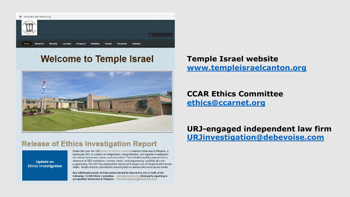

#### **Welcome to Temple Israel**



#### **Temple Israel website [www.templeisraelcanton.org](http://www.templeisraelcanton.org/)**

**CCAR Ethics Committee [ethics@ccarnet.org](mailto:ethics@ccarnet.org)**

#### **Release of Ethics Investigation Report**

**Update on Ethics Investigation**  Earlier this year, the URJ (Union for Reform Judaism) retained Debevoise & Plimpton, a leading law firm, to conduct an independent, comprehensive, and impartial investigation into sexual harassment, abuse, and misconduct. This included anything experienced or witnessed at URJ workplaces, summer camps, and programming, including all youth programming. The URJ has released the report and it names one of Temple Israel's former rabbis. Temple Israel is committed to ensuring that we address this most serious matter.

Any additional reports of misconduct should be directed to one or both of the following: CCAR Ethics Committee - ethics@ccarnet.org (third party reporting is acceptable), Debevoise & Plimpton - URJinvestigation@debevoise.com

**URJ-engaged independent law firm [URJinvestigation@debevoise.com](mailto:URJinvestigation@debevoise.com)**